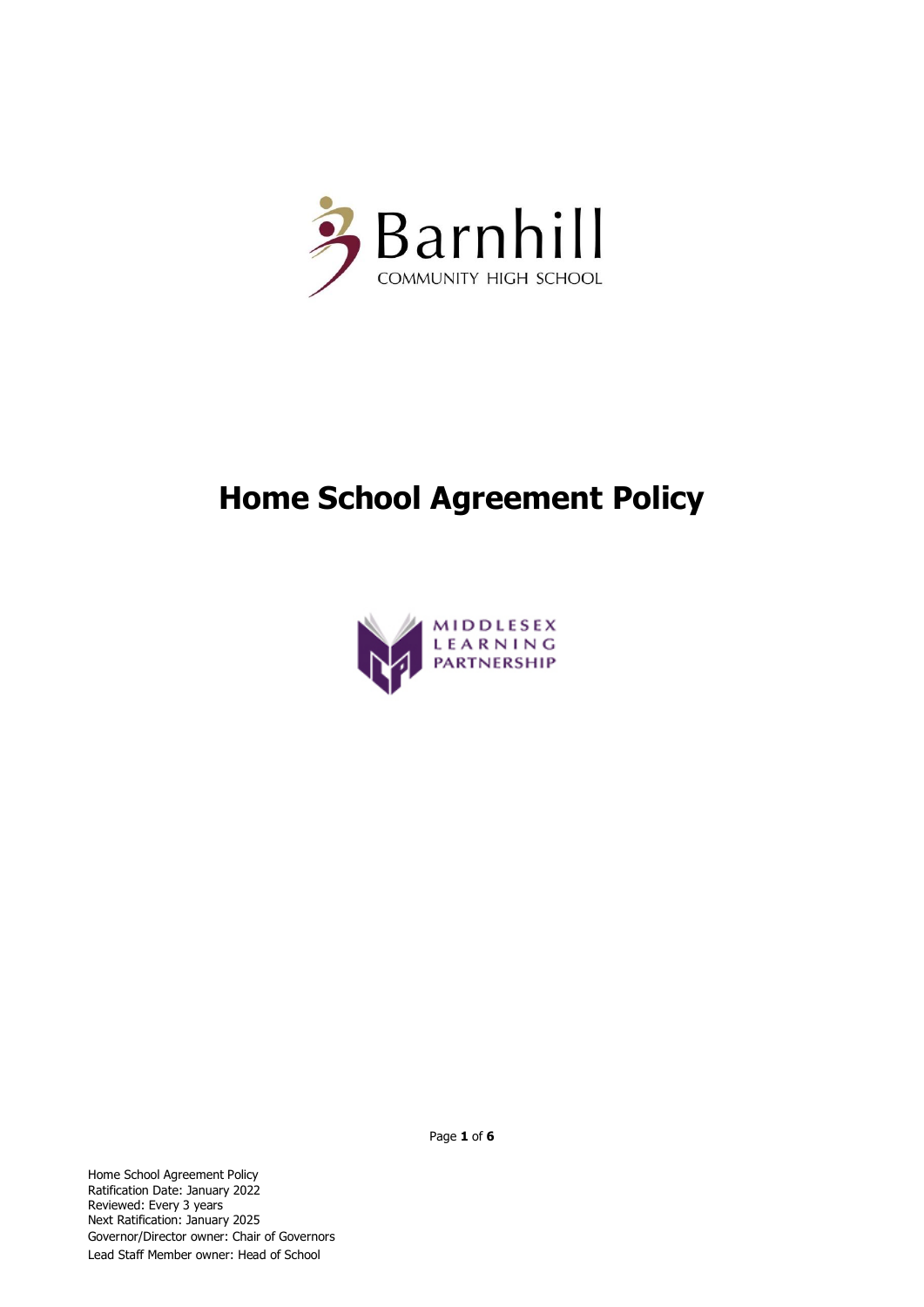

# **Home School Agreement Policy**



Home School Agreement Policy Ratification Date: January 2022 Reviewed: Every 3 years Next Ratification: January 2025 Governor/Director owner: Chair of Governors Lead Staff Member owner: Head of School

Page **1** of **6**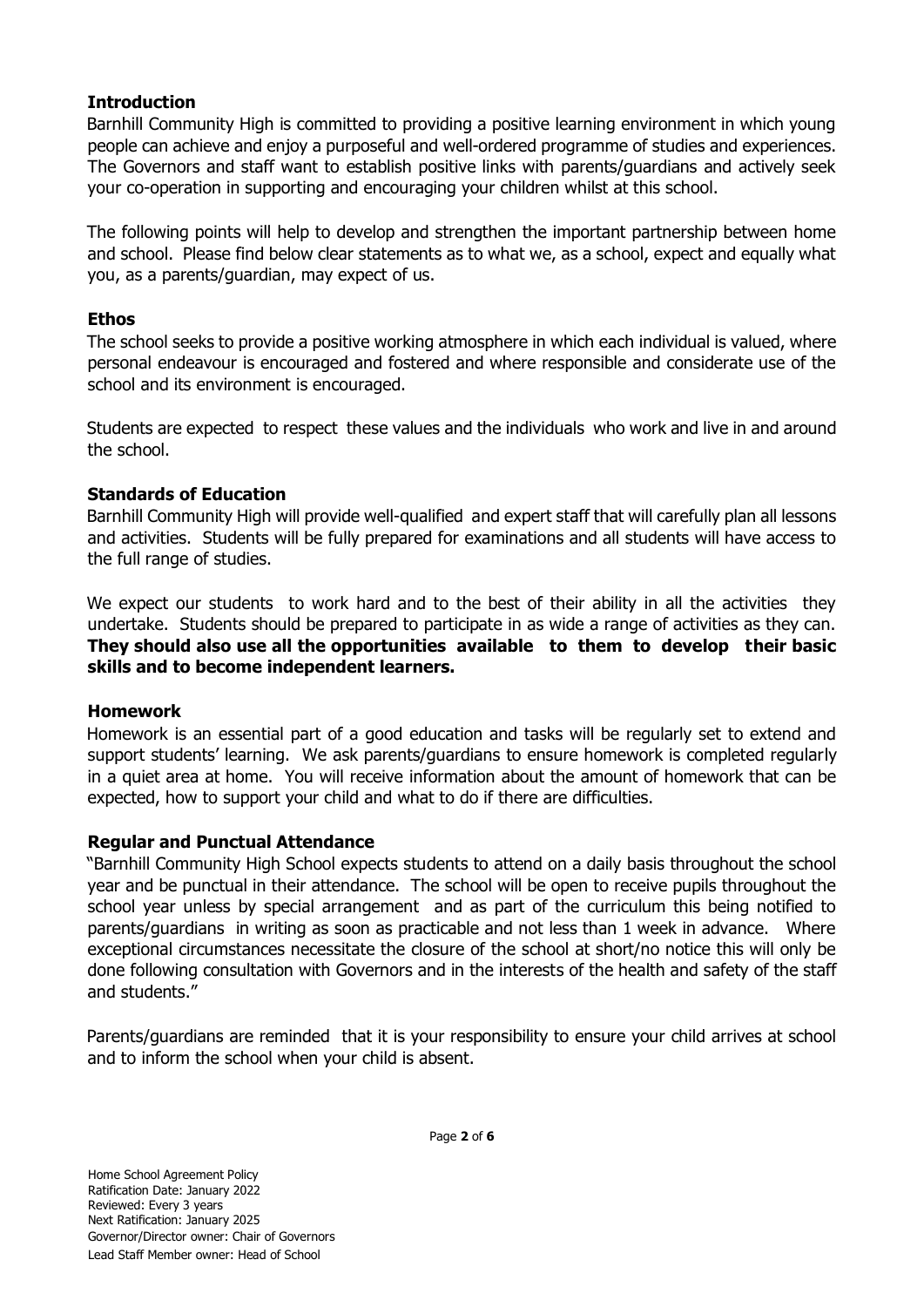## **Introduction**

Barnhill Community High is committed to providing a positive learning environment in which young people can achieve and enjoy a purposeful and well-ordered programme of studies and experiences. The Governors and staff want to establish positive links with parents/guardians and actively seek your co-operation in supporting and encouraging your children whilst at this school.

The following points will help to develop and strengthen the important partnership between home and school. Please find below clear statements as to what we, as a school, expect and equally what you, as a parents/guardian, may expect of us.

## **Ethos**

The school seeks to provide a positive working atmosphere in which each individual is valued, where personal endeavour is encouraged and fostered and where responsible and considerate use of the school and its environment is encouraged.

Students are expected to respect these values and the individuals who work and live in and around the school.

## **Standards of Education**

Barnhill Community High will provide well-qualified and expert staff that will carefully plan all lessons and activities. Students will be fully prepared for examinations and all students will have access to the full range of studies.

We expect our students to work hard and to the best of their ability in all the activities they undertake. Students should be prepared to participate in as wide a range of activities as they can. **They should also use all the opportunities available to them to develop their basic skills and to become independent learners.** 

#### **Homework**

Homework is an essential part of a good education and tasks will be regularly set to extend and support students' learning. We ask parents/guardians to ensure homework is completed regularly in a quiet area at home. You will receive information about the amount of homework that can be expected, how to support your child and what to do if there are difficulties.

# **Regular and Punctual Attendance**

"Barnhill Community High School expects students to attend on a daily basis throughout the school year and be punctual in their attendance. The school will be open to receive pupils throughout the school year unless by special arrangement and as part of the curriculum this being notified to parents/guardians in writing as soon as practicable and not less than 1 week in advance. Where exceptional circumstances necessitate the closure of the school at short/no notice this will only be done following consultation with Governors and in the interests of the health and safety of the staff and students."

Parents/guardians are reminded that it is your responsibility to ensure your child arrives at school and to inform the school when your child is absent.

Page **2** of **6**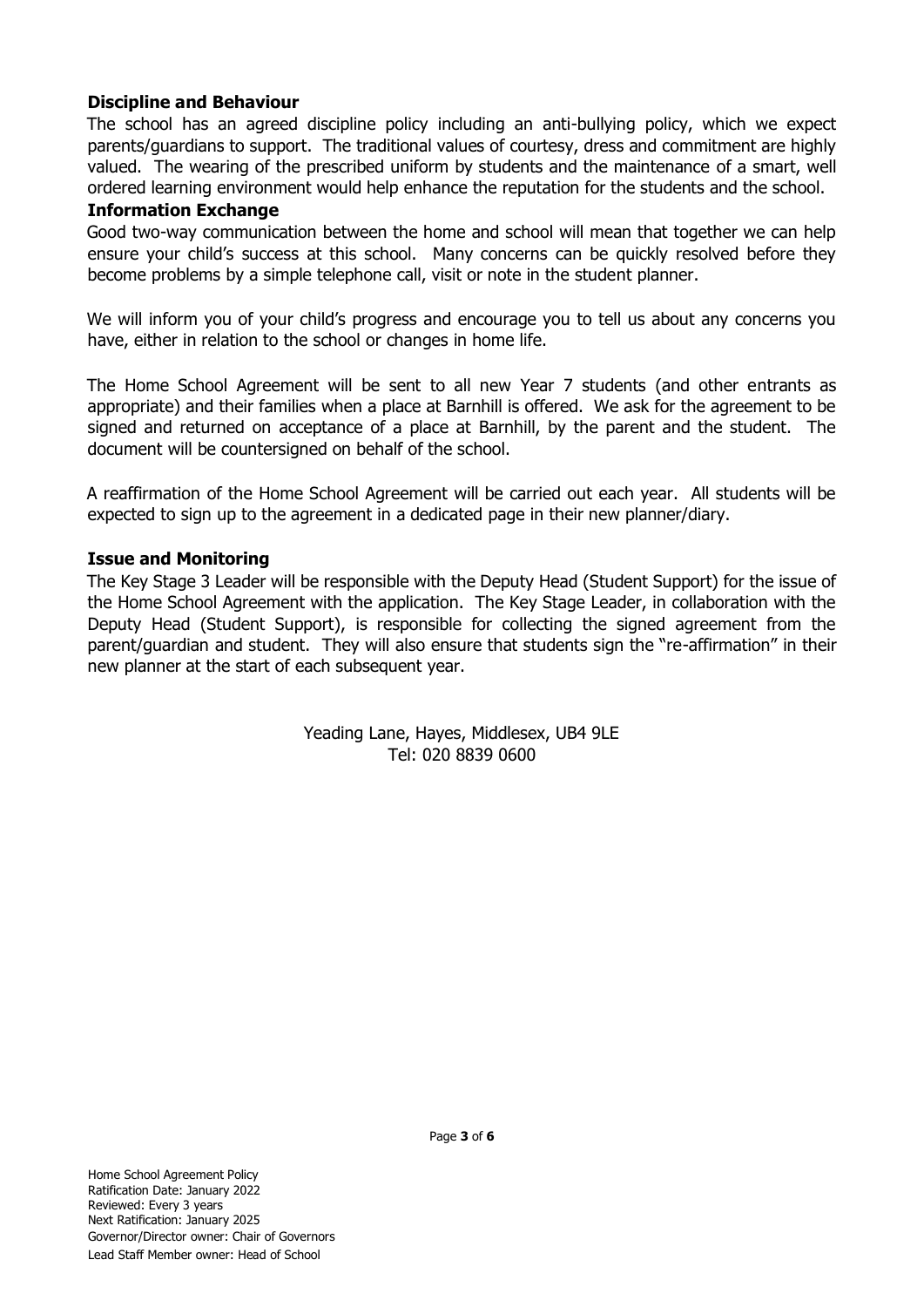## **Discipline and Behaviour**

The school has an agreed discipline policy including an anti-bullying policy, which we expect parents/guardians to support. The traditional values of courtesy, dress and commitment are highly valued. The wearing of the prescribed uniform by students and the maintenance of a smart, well ordered learning environment would help enhance the reputation for the students and the school.

#### **Information Exchange**

Good two-way communication between the home and school will mean that together we can help ensure your child's success at this school. Many concerns can be quickly resolved before they become problems by a simple telephone call, visit or note in the student planner.

We will inform you of your child's progress and encourage you to tell us about any concerns you have, either in relation to the school or changes in home life.

The Home School Agreement will be sent to all new Year 7 students (and other entrants as appropriate) and their families when a place at Barnhill is offered. We ask for the agreement to be signed and returned on acceptance of a place at Barnhill, by the parent and the student. The document will be countersigned on behalf of the school.

A reaffirmation of the Home School Agreement will be carried out each year. All students will be expected to sign up to the agreement in a dedicated page in their new planner/diary.

#### **Issue and Monitoring**

The Key Stage 3 Leader will be responsible with the Deputy Head (Student Support) for the issue of the Home School Agreement with the application. The Key Stage Leader, in collaboration with the Deputy Head (Student Support), is responsible for collecting the signed agreement from the parent/guardian and student. They will also ensure that students sign the "re-affirmation" in their new planner at the start of each subsequent year.

> Yeading Lane, Hayes, Middlesex, UB4 9LE Tel: 020 8839 0600

Page **3** of **6**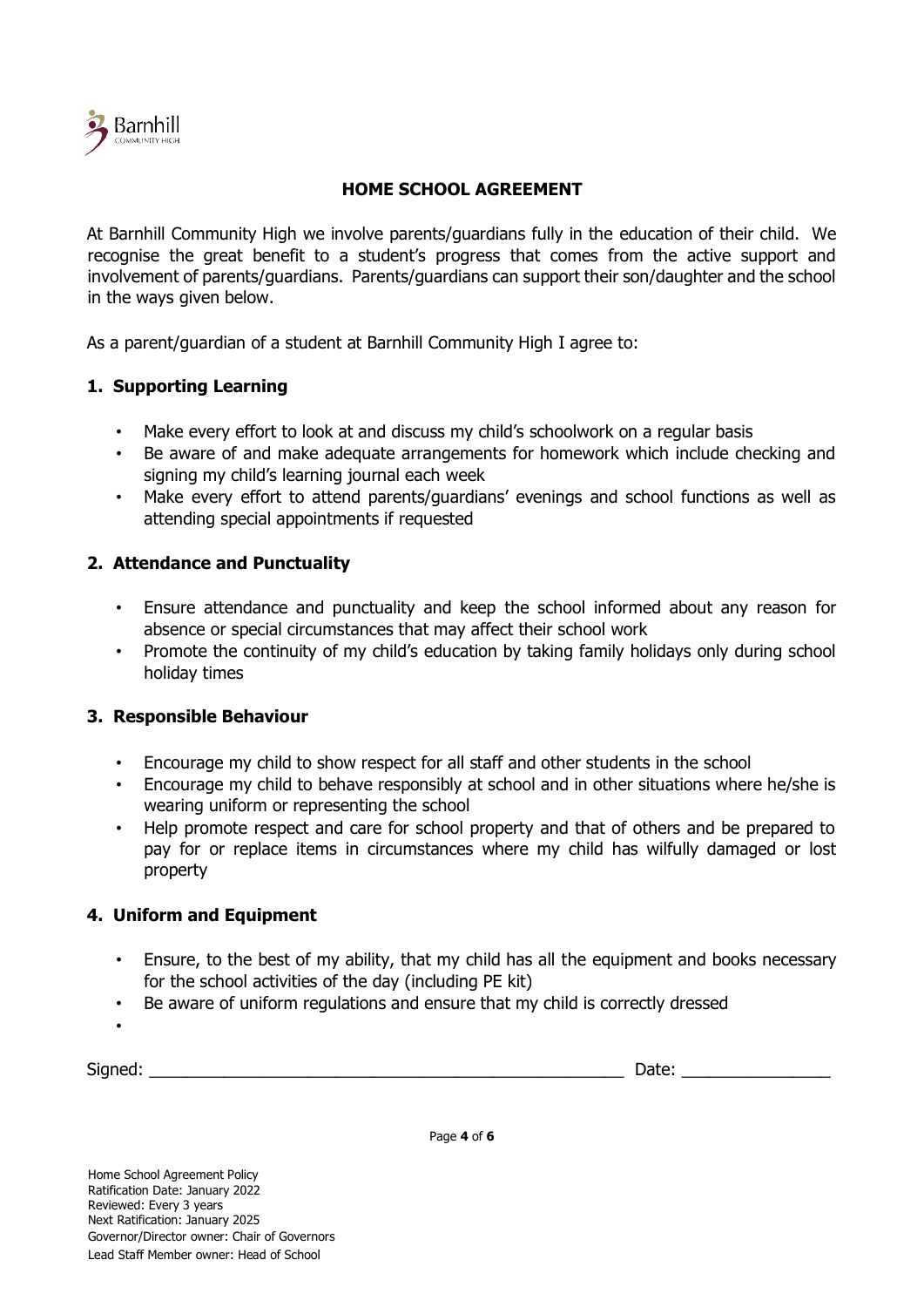

# **HOME SCHOOL AGREEMENT**

At Barnhill Community High we involve parents/guardians fully in the education of their child. We recognise the great benefit to a student's progress that comes from the active support and involvement of parents/guardians. Parents/guardians can support their son/daughter and the school in the ways given below.

As a parent/guardian of a student at Barnhill Community High I agree to:

## **1. Supporting Learning**

- Make every effort to look at and discuss my child's schoolwork on a regular basis
- Be aware of and make adequate arrangements for homework which include checking and signing my child's learning journal each week
- Make every effort to attend parents/guardians' evenings and school functions as well as attending special appointments if requested

## **2. Attendance and Punctuality**

- Ensure attendance and punctuality and keep the school informed about any reason for absence or special circumstances that may affect their school work
- Promote the continuity of my child's education by taking family holidays only during school holiday times

#### **3. Responsible Behaviour**

- Encourage my child to show respect for all staff and other students in the school
- Encourage my child to behave responsibly at school and in other situations where he/she is wearing uniform or representing the school
- Help promote respect and care for school property and that of others and be prepared to pay for or replace items in circumstances where my child has wilfully damaged or lost property

#### **4. Uniform and Equipment**

- Ensure, to the best of my ability, that my child has all the equipment and books necessary for the school activities of the day (including PE kit)
- Be aware of uniform regulations and ensure that my child is correctly dressed
- •

 $Signed:$ 

Page **4** of **6**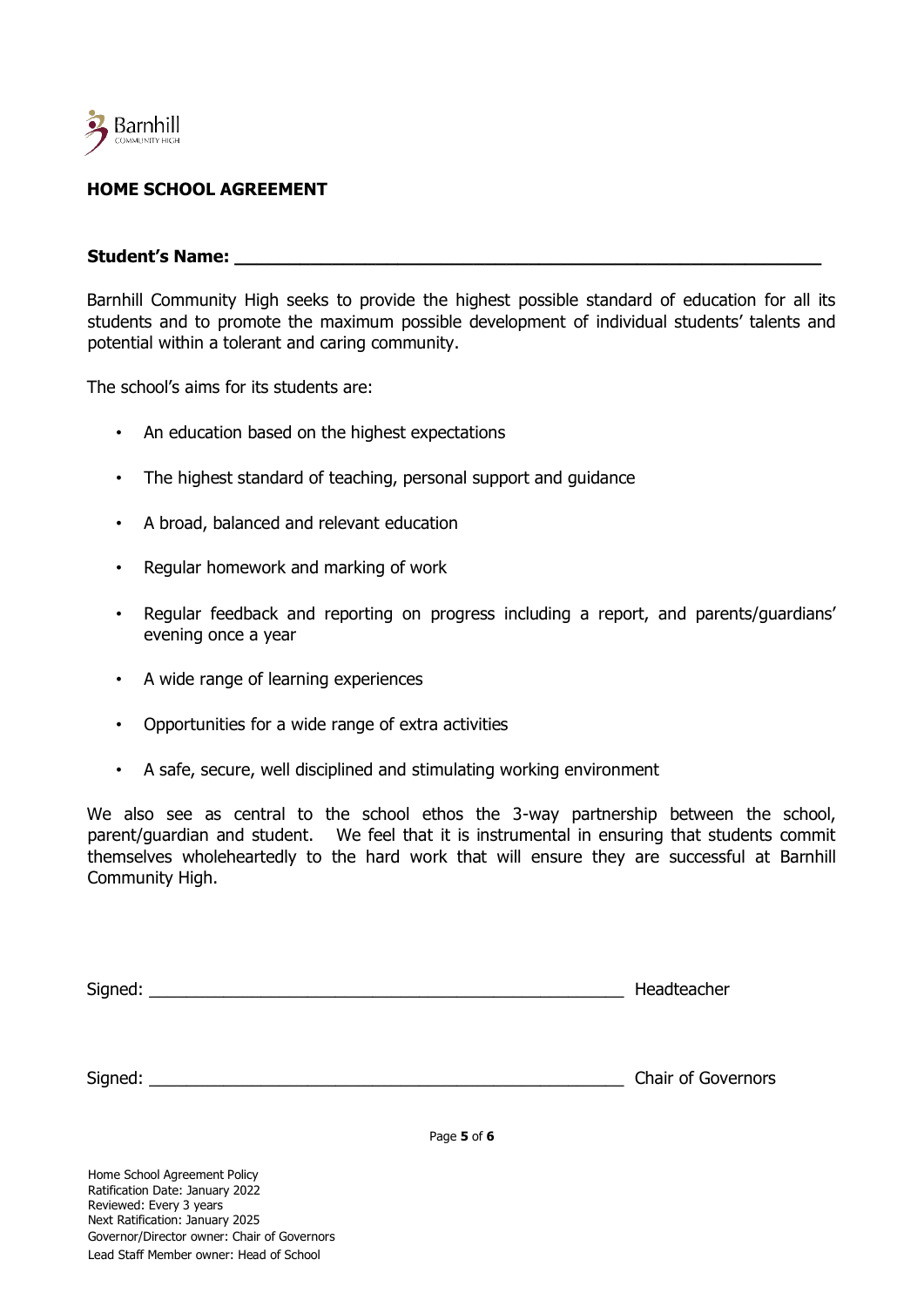

# **HOME SCHOOL AGREEMENT**

#### Student's Name:

Barnhill Community High seeks to provide the highest possible standard of education for all its students and to promote the maximum possible development of individual students' talents and potential within a tolerant and caring community.

The school's aims for its students are:

- An education based on the highest expectations
- The highest standard of teaching, personal support and guidance
- A broad, balanced and relevant education
- Regular homework and marking of work
- Regular feedback and reporting on progress including a report, and parents/guardians' evening once a year
- A wide range of learning experiences
- Opportunities for a wide range of extra activities
- A safe, secure, well disciplined and stimulating working environment

We also see as central to the school ethos the 3-way partnership between the school, parent/guardian and student. We feel that it is instrumental in ensuring that students commit themselves wholeheartedly to the hard work that will ensure they are successful at Barnhill Community High.

| Signed: | Headteacher |
|---------|-------------|
|---------|-------------|

Signed: The state of Governors of Governors and Signed: The Signed Signed Signed Signed Signed Signed Signed Signed Signed Signed Signed Signed Signed Signed Signed Signed Signed Signed Signed Signed Signed Signed Signed S

Page **5** of **6**